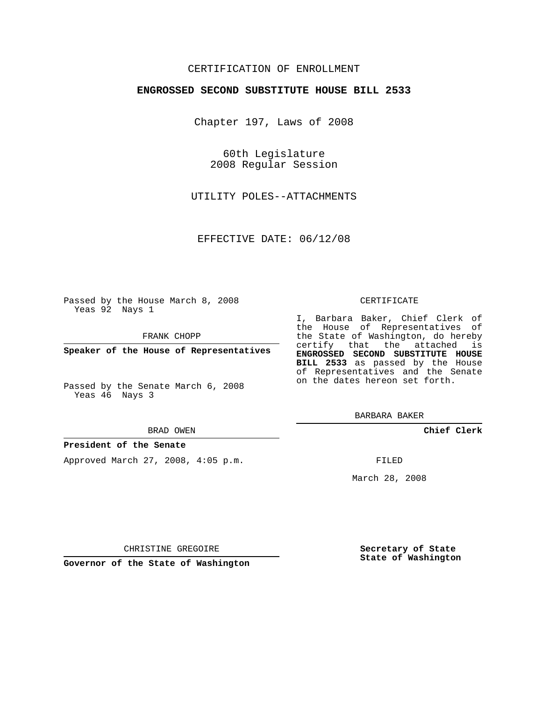# CERTIFICATION OF ENROLLMENT

## **ENGROSSED SECOND SUBSTITUTE HOUSE BILL 2533**

Chapter 197, Laws of 2008

60th Legislature 2008 Regular Session

UTILITY POLES--ATTACHMENTS

EFFECTIVE DATE: 06/12/08

Passed by the House March 8, 2008 Yeas 92 Nays 1

FRANK CHOPP

**Speaker of the House of Representatives**

Passed by the Senate March 6, 2008 Yeas 46 Nays 3

#### BRAD OWEN

## **President of the Senate**

Approved March 27, 2008, 4:05 p.m.

### CERTIFICATE

I, Barbara Baker, Chief Clerk of the House of Representatives of the State of Washington, do hereby certify that the attached is **ENGROSSED SECOND SUBSTITUTE HOUSE BILL 2533** as passed by the House of Representatives and the Senate on the dates hereon set forth.

BARBARA BAKER

**Chief Clerk**

FILED

March 28, 2008

**Secretary of State State of Washington**

CHRISTINE GREGOIRE

**Governor of the State of Washington**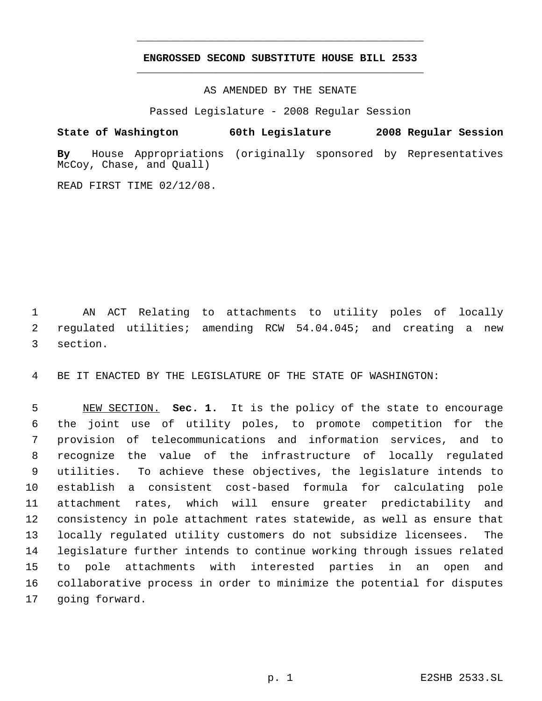# **ENGROSSED SECOND SUBSTITUTE HOUSE BILL 2533** \_\_\_\_\_\_\_\_\_\_\_\_\_\_\_\_\_\_\_\_\_\_\_\_\_\_\_\_\_\_\_\_\_\_\_\_\_\_\_\_\_\_\_\_\_

\_\_\_\_\_\_\_\_\_\_\_\_\_\_\_\_\_\_\_\_\_\_\_\_\_\_\_\_\_\_\_\_\_\_\_\_\_\_\_\_\_\_\_\_\_

AS AMENDED BY THE SENATE

Passed Legislature - 2008 Regular Session

**State of Washington 60th Legislature 2008 Regular Session By** House Appropriations (originally sponsored by Representatives McCoy, Chase, and Quall)

READ FIRST TIME 02/12/08.

 AN ACT Relating to attachments to utility poles of locally regulated utilities; amending RCW 54.04.045; and creating a new section.

BE IT ENACTED BY THE LEGISLATURE OF THE STATE OF WASHINGTON:

 NEW SECTION. **Sec. 1.** It is the policy of the state to encourage the joint use of utility poles, to promote competition for the provision of telecommunications and information services, and to recognize the value of the infrastructure of locally regulated utilities. To achieve these objectives, the legislature intends to establish a consistent cost-based formula for calculating pole attachment rates, which will ensure greater predictability and consistency in pole attachment rates statewide, as well as ensure that locally regulated utility customers do not subsidize licensees. The legislature further intends to continue working through issues related to pole attachments with interested parties in an open and collaborative process in order to minimize the potential for disputes going forward.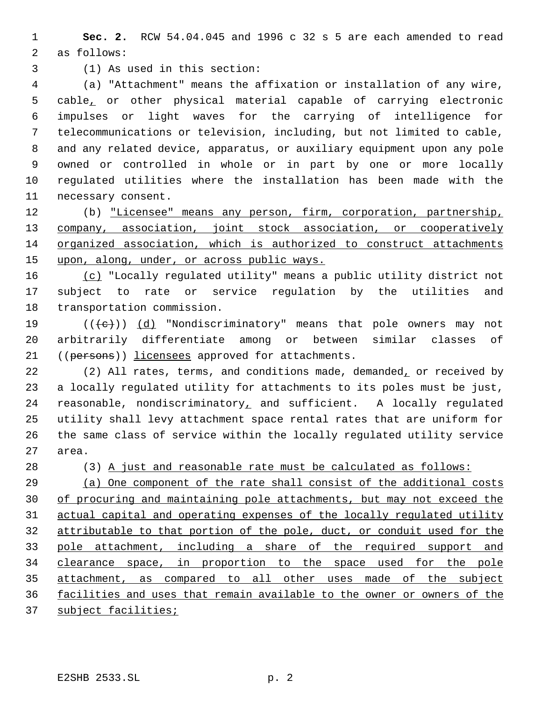**Sec. 2.** RCW 54.04.045 and 1996 c 32 s 5 are each amended to read as follows:

(1) As used in this section:

 (a) "Attachment" means the affixation or installation of any wire, cable, or other physical material capable of carrying electronic impulses or light waves for the carrying of intelligence for telecommunications or television, including, but not limited to cable, and any related device, apparatus, or auxiliary equipment upon any pole owned or controlled in whole or in part by one or more locally regulated utilities where the installation has been made with the necessary consent.

 (b) "Licensee" means any person, firm, corporation, partnership, 13 company, association, joint stock association, or cooperatively organized association, which is authorized to construct attachments 15 upon, along, under, or across public ways.

 (c) "Locally regulated utility" means a public utility district not subject to rate or service regulation by the utilities and transportation commission.

19  $((\{e\}) \ (d)$  "Nondiscriminatory" means that pole owners may not arbitrarily differentiate among or between similar classes of ((persons)) licensees approved for attachments.

22 (2) All rates, terms, and conditions made, demanded, or received by a locally regulated utility for attachments to its poles must be just, reasonable, nondiscriminatory, and sufficient. A locally regulated utility shall levy attachment space rental rates that are uniform for the same class of service within the locally regulated utility service area.

(3) A just and reasonable rate must be calculated as follows:

 (a) One component of the rate shall consist of the additional costs of procuring and maintaining pole attachments, but may not exceed the actual capital and operating expenses of the locally regulated utility attributable to that portion of the pole, duct, or conduit used for the pole attachment, including a share of the required support and clearance space, in proportion to the space used for the pole attachment, as compared to all other uses made of the subject facilities and uses that remain available to the owner or owners of the

37 subject facilities;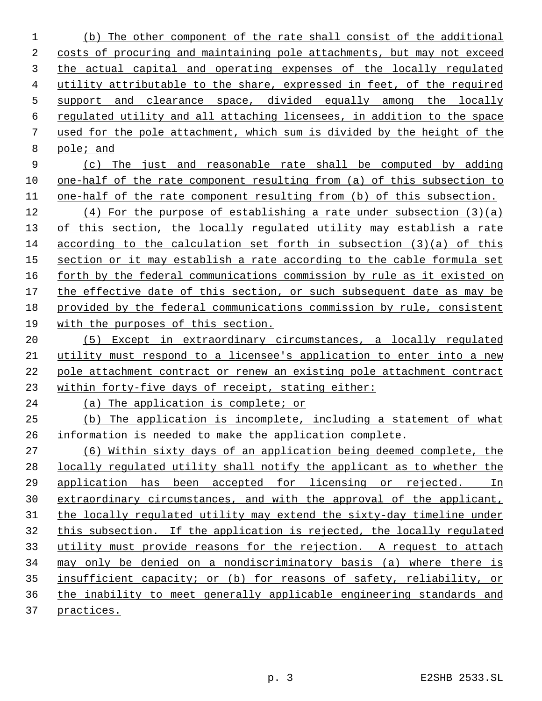(b) The other component of the rate shall consist of the additional costs of procuring and maintaining pole attachments, but may not exceed the actual capital and operating expenses of the locally regulated utility attributable to the share, expressed in feet, of the required support and clearance space, divided equally among the locally regulated utility and all attaching licensees, in addition to the space used for the pole attachment, which sum is divided by the height of the pole; and

 (c) The just and reasonable rate shall be computed by adding 10 one-half of the rate component resulting from (a) of this subsection to one-half of the rate component resulting from (b) of this subsection.

 (4) For the purpose of establishing a rate under subsection (3)(a) 13 of this section, the locally regulated utility may establish a rate according to the calculation set forth in subsection (3)(a) of this 15 section or it may establish a rate according to the cable formula set forth by the federal communications commission by rule as it existed on the effective date of this section, or such subsequent date as may be provided by the federal communications commission by rule, consistent with the purposes of this section.

 (5) Except in extraordinary circumstances, a locally regulated utility must respond to a licensee's application to enter into a new pole attachment contract or renew an existing pole attachment contract within forty-five days of receipt, stating either:

(a) The application is complete; or

 (b) The application is incomplete, including a statement of what information is needed to make the application complete.

 (6) Within sixty days of an application being deemed complete, the locally regulated utility shall notify the applicant as to whether the application has been accepted for licensing or rejected. In extraordinary circumstances, and with the approval of the applicant, 31 the locally regulated utility may extend the sixty-day timeline under this subsection. If the application is rejected, the locally regulated utility must provide reasons for the rejection. A request to attach may only be denied on a nondiscriminatory basis (a) where there is insufficient capacity; or (b) for reasons of safety, reliability, or the inability to meet generally applicable engineering standards and practices.